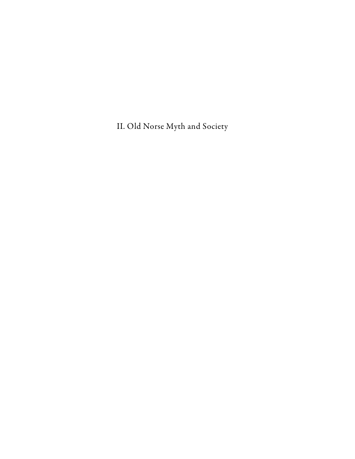II. Old Norse Myth and Society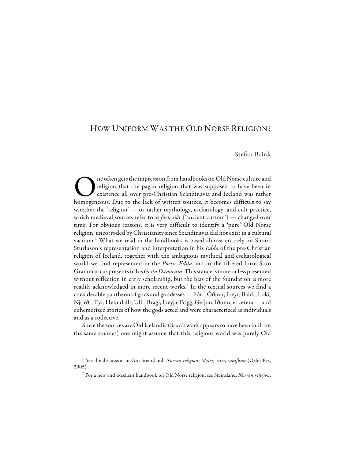# HOW UNIFORM WAS THE OLD NORSE RELIGION?

Stefan Brink

The often gets the impression from handbooks on Old Norse culture and religion that the pagan religion that was supposed to have been in existence all over pre-Christian Scandinavia and Iceland was rather homogeneous. Due ne often gets the impression from handbooks on Old Norse culture and religion that the pagan religion that was supposed to have been in existence all over pre-Christian Scandinavia and Iceland was rather whether the 'religion' - or rather mythology, eschatology, and cult practice, which medieval sources refer to as *forn siðr* ('ancient custom') — changed over time. For obvious reasons, it is very difficult to identify a 'pure' Old Norse religion, uncorroded by Christianity since Scandinavia did not exist in a cultural vacuum.<sup>1</sup> What we read in the handbooks is based almost entirely on Snorri Sturluson's representation and interpretation in his *Edda* of the pre-Christian religion of Iceland, together with the ambiguous mythical and eschatological world we find represented in the *Poetic Edda* and in the filtered form Saxo Grammaticus presents in his*Gesta Danorum*. This stance is more or less presented without reflection in early scholarship, but the bias of the foundation is more readily acknowledged in more recent works.<sup>2</sup> In the textual sources we find a considerable pantheon of gods and goddesses — Þórr, Óðinn, Freyr, Baldr, Loki, Njorðr, Týr, Heimdallr, Ullr, Bragi, Freyja, Frigg, Gefjon, Iðunn, et cetera — and euhemerized stories of how the gods acted and were characterized as individuals and as a collective.

Since the sources are Old Icelandic (Saxo's work appears to have been built on the same sources) one might assume that this religious world was purely Old

<sup>&</sup>lt;sup>1</sup> See the discussion in Gro Steinsland, *Norrøn religion: Myter, riter, samfunn* (Oslo: Pax, 2005).

<sup>&</sup>lt;sup>2</sup> For a new and excellent handbook on Old Norse religion, see Steinsland, *Norrøn religion*.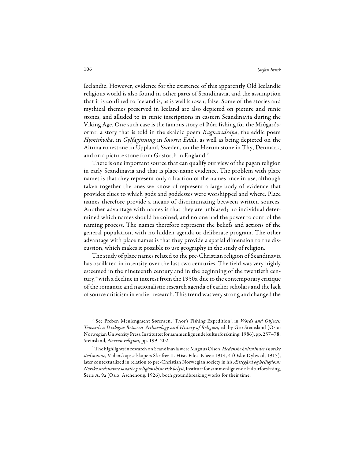Icelandic. However, evidence for the existence of this apparently Old Icelandic religious world is also found in other parts of Scandinavia, and the assumption that it is confined to Iceland is, as is well known, false. Some of the stories and mythical themes preserved in Iceland are also depicted on picture and runic stones, and alluded to in runic inscriptions in eastern Scandinavia during the Viking Age. One such case is the famous story of Þórr fishing for the Miðgarðsormr, a story that is told in the skaldic poem *Ragnarsdrápa*, the eddic poem *Hymiskviða*, in *Gylfaginning* in *Snorra Edda*, as well as being depicted on the Altuna runestone in Uppland, Sweden, on the Hørum stone in Thy, Denmark, and on a picture stone from Gosforth in England.<sup>3</sup>

There is one important source that can qualify our view of the pagan religion in early Scandinavia and that is place-name evidence. The problem with place names is that they represent only a fraction of the names once in use, although taken together the ones we know of represent a large body of evidence that provides clues to which gods and goddesses were worshipped and where. Place names therefore provide a means of discriminating between written sources. Another advantage with names is that they are unbiased; no individual determined which names should be coined, and no one had the power to control the naming process. The names therefore represent the beliefs and actions of the general population, with no hidden agenda or deliberate program. The other advantage with place names is that they provide a spatial dimension to the discussion, which makes it possible to use geography in the study of religion.

The study of place names related to the pre-Christian religion of Scandinavia has oscillated in intensity over the last two centuries. The field was very highly esteemed in the nineteenth century and in the beginning of the twentieth century, $4$  with a decline in interest from the 1950s, due to the contemporary critique of the romantic and nationalistic research agenda of earlier scholars and the lack of source criticism in earlier research. This trend was very strong and changed the

<sup>3</sup> See Preben Meulengracht Sørensen, 'Thor's Fishing Expedition', in *Words and Objects: Towards a Dialogue Between Archaeology and History of Religion*, ed. by Gro Steinsland (Oslo: Norwegian University Press, Instituttet for sammenlignende kulturforskning, 1986), pp. 257–78; Steinsland, *Norrøn religion*, pp. 199–202.

The highlights in research on Scandinavia were Magnus Olsen, *Hedenske kultminder i norske* <sup>4</sup> *stedsnavne*, Videnskapsselskapets Skrifter II. Hist.-Filos. Klasse 1914, 4 (Oslo: Dybwad, 1915), later contextualized in relation to pre-Christian Norwegian society in his *Ættegård og helligdom: Norske stedsnavne sosialt og religionshistorisk belyst*, Institutt for sammenlignende kulturforskning, Serie A, 9a (Oslo: Aschehoug, 1926), both groundbreaking works for their time.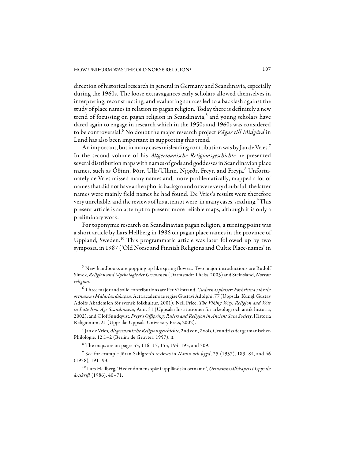direction of historical research in general in Germany and Scandinavia, especially during the 1960s. The loose extravagances early scholars allowed themselves in interpreting, reconstructing, and evaluating sources led to a backlash against the study of place names in relation to pagan religion. Today there is definitely a new trend of focussing on pagan religion in Scandinavia,<sup>5</sup> and young scholars have dared again to engage in research which in the 1950s and 1960s was considered to be controversial.<sup>6</sup> No doubt the major research project *Vägar till Midgård* in Lund has also been important in supporting this trend.

An important, but in many cases misleading contribution was by Jan de Vries.<sup>7</sup> In the second volume of his *Altgermanische Religionsgeschichte* he presented several distribution maps with names of gods and goddesses in Scandinavian place names, such as Óðinn, Þórr, Ullr/Ullinn, Njorðr, Freyr, and Freyja.<sup>8</sup> Unfortunately de Vries missed many names and, more problematically, mapped a lot of names that did not have a theophoric background or were very doubtful; the latter names were mainly field names he had found. De Vries's results were therefore very unreliable, and the reviews of his attempt were, in many cases, scathing.<sup>9</sup> This present article is an attempt to present more reliable maps, although it is only a preliminary work.

For toponymic research on Scandinavian pagan religion, a turning point was a short article by Lars Hellberg in 1986 on pagan place names in the province of Uppland, Sweden.<sup>10</sup> This programmatic article was later followed up by two symposia, in 1987 ('Old Norse and Finnish Religions and Cultic Place-names' in

Three major and solid contributions are Per Vikstrand, *Gudarnas platser: Förkristna sakrala* <sup>6</sup> *ortnamn i Mälarlandskapen*,Actaacademiae regiae GustaviAdolphi, 77 (Uppsala: Kungl. Gustav Adolfs Akademien för svensk folkkultur, 2001); Neil Price, *The Viking Way: Religion and War in Late Iron Age Scandinavia*, Aun, 31 (Uppsala: Institutionen för arkeologi och antik historia, 2002); and Olof Sundqvist, *Freyr's Offspring: Rulers and Religion in Ancient Svea Society*, Historia Religionum, 21 (Uppsala: Uppsala University Press, 2002).

Jan de Vries, *Altgermanische Religionsgeschichte*, 2nd edn, 2 vols, Grundriss der germanischen <sup>7</sup> Philologie, 12.1–2 (Berlin: de Gruyter, 1957), II.

 $^8$  The maps are on pages 53, 116–17, 155, 194, 195, and 309.

 $^9$  See for example Jöran Sahlgren's reviews in  $Namn$  och bygd, 25 (1937), 183–84, and 46 (1958), 191–93.

Lars Hellberg, 'Hedendomens spår i uppländska ortnamn', *Ortnamnssällskapets i Uppsala* <sup>10</sup> *årsskrift* (1986), 40–71.

<sup>&</sup>lt;sup>5</sup> New handbooks are popping up like spring flowers. Two major introductions are Rudolf Simek, *Religion und Mythologie der Germanen* (Darmstadt: Theiss, 2003) and Steinsland, *Norrøn religion*.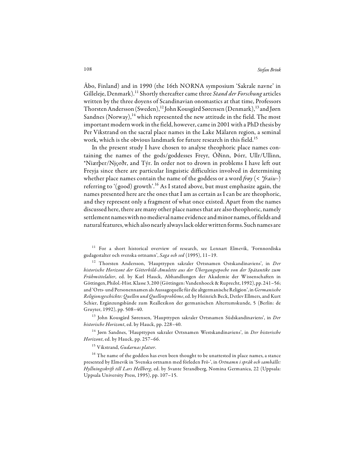Åbo, Finland) and in 1990 (the 16th NORNA symposium 'Sakrale navne' in Gilleleje, Denmark).<sup>11</sup> Shortly thereafter came three *Stand der Forschung* articles written by the three doyens of Scandinavian onomastics at that time, Professors Thorsten Andersson (Sweden), <sup>12</sup> John Kousgård Sørensen (Denmark), <sup>13</sup> and Jørn Sandnes (Norway),<sup>14</sup> which represented the new attitude in the field. The most important modern work in the field, however, came in 2001 with a PhD thesis by Per Vikstrand on the sacral place names in the Lake Mälaren region, a seminal work, which is the obvious landmark for future research in this field. 15

In the present study I have chosen to analyse theophoric place names containing the names of the gods/goddesses Freyr, Óðinn, Þórr, Ullr/Ullinn, \*Niærber/Njorðr, and Týr. In order not to drown in problems I have left out Freyja since there are particular linguistic difficulties involved in determining whether place names contain the name of the goddess or a word *frøy* (< *\*fraiw-*) referring to '(good) growth'.<sup>16</sup> As I stated above, but must emphasize again, the names presented here are the ones that I am as certain as I can be are theophoric, and they represent only a fragment of what once existed. Apart from the names discussed here, there are many other place names that are also theophoric, namely settlement names with no medieval name evidence and minor names, of fields and natural features, which also nearly always lack older written forms. Such names are

<sup>13</sup> John Kousgård Sørensen, 'Haupttypen sakraler Ortsnamen Südskandinaviens', in *Der historische Horizont*, ed. by Hauck, pp. 228–40.

<sup>14</sup> Jørn Sandnes, 'Haupttypen sakraler Ortsnamen Westskandinaviens', in *Der historische Horizont*, ed. by Hauck, pp. 257–66.

Vikstrand, *Gudarnas platser*. 15

 $^{16}$  The name of the goddess has even been thought to be unattested in place names, a stance presented by Elmevik in 'Svenska ortnamn med förleden Frö-', in *Ortnamn i språk och samhälle: Hyllningsskrift till Lars Hellberg*, ed. by Svante Strandberg, Nomina Germanica, 22 (Uppsala: Uppsala University Press, 1995), pp. 107–15.

<sup>&</sup>lt;sup>11</sup> For a short historical overview of research, see Lennart Elmevik, 'Fornnordiska gudagestalter och svenska ortnamn', *Saga och sed* (1995), 11–19.

Thorsten Andersson, 'Haupttypen sakraler Ortsnamen Ostskandinaviens', in *Der* 12 *historische Horizont der Götterbild-Amulette aus der Übergangsepoche von der Spätantike zum Frühmittelalter*, ed. by Karl Hauck, Abhandlungen der Akademie der Wissenschaften in Göttingen, Philol.-Hist. Klasse 3, 200 (Göttingen: Vandenhoeck & Ruprecht, 1992), pp. 241–56; and 'Orts- und Personennamen als Aussagequelle für die altgermanische Religion', in *Germanische Religionsgeschichte: Quellen und Quellenprobleme*, ed. by Heinrich Beck, Detlev Ellmers, and Kurt Schier, Ergänzungsbände zum Reallexikon der germanischen Altertumskunde, 5 (Berlin: de Gruyter, 1992), pp. 508–40.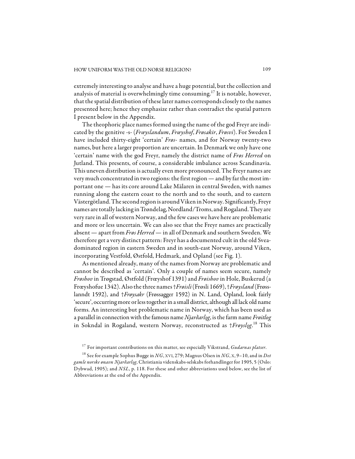extremely interesting to analyse and have a huge potential, but the collection and analysis of material is overwhelmingly time consuming.<sup>17</sup> It is notable, however, that the spatial distribution of these later names corresponds closely to the names presented here; hence they emphasize rather than contradict the spatial pattern I present below in the Appendix.

The theophoric place names formed using the name of the god Freyr are indicated by the genitive -s- (*Frœyslandum*, *Frœyshof*, *Frøsakir*, *Frøsvi*). For Sweden I have included thirty-eight 'certain' *Frøs*- names, and for Norway twenty-two names, but here a larger proportion are uncertain. In Denmark we only have one 'certain' name with the god Freyr, namely the district name of *Frøs Herred* on Jutland. This presents, of course, a considerable imbalance across Scandinavia. This uneven distribution is actually even more pronounced. The Freyr names are very much concentrated in two regions: the first region — and by far the most important one — has its core around Lake Mälaren in central Sweden, with names running along the eastern coast to the north and to the south, and to eastern Västergötland. The second region is around Viken in Norway. Significantly, Freyr names are totally lacking in Trøndelag, Nordland/Troms, and Rogaland. They are very rare in all of western Norway, and the few cases we have here are problematic and more or less uncertain. We can also see that the Freyr names are practically absent — apart from *Frøs Herred* — in all of Denmark and southern Sweden. We therefore get a very distinct pattern: Freyr has a documented cult in the old Sveadominated region in eastern Sweden and in south-east Norway, around Viken, incorporating Vestfold, Østfold, Hedmark, and Opland (see Fig. 1).

As mentioned already, many of the names from Norway are problematic and cannot be described as 'certain'. Only a couple of names seem secure, namely *Frøshov* in Trøgstad, Østfold (Frœyshof 1391) and *Frøishov* in Hole, Buskerud (a Frœyshofue 1342). Also the three names †*Frøisli* (Frøsli 1669), †*Frøysland* (Frøsslanndt 1592), and †*Frøysakr* (Frøssagger 1592) in N. Land, Opland, look fairly 'secure', occurring more or less together in a small district, although all lack old name forms. An interesting but problematic name in Norway, which has been used as a parallel in connection with the famous name *Njarðarlo3g*, is the farm name *Frøitlog* in Sokndal in Rogaland, western Norway, reconstructed as  $\frac{1}{2}F$ r This

<sup>&</sup>lt;sup>17</sup> For important contributions on this matter, see especially Vikstrand, *Gudarnas platser*.

<sup>&</sup>lt;sup>18</sup> See for example Sophus Bugge in *NG*, XVI, 279; Magnus Olsen in *NG*, X, 9–10, and in *Det gamle norske ønavn Njarðarlo3g*, Christiania videnskabs-selskabs forhandlinger for 1905, 5 (Oslo: Dybwad, 1905); and *NSL*, p. 118. For these and other abbreviations used below, see the list of Abbreviations at the end of the Appendix.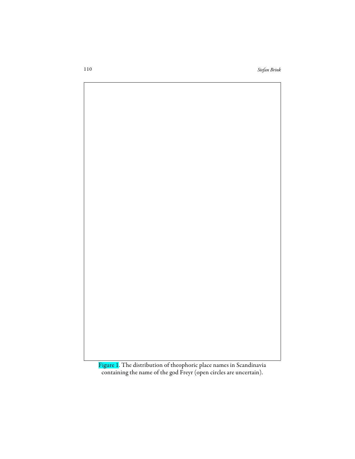

Figure 1. The distribution of theophoric place names in Scandinavia containing the name of the god Freyr (open circles are uncertain).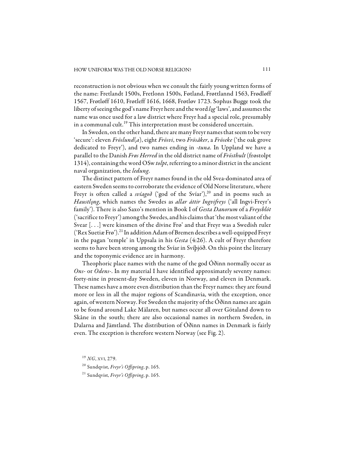reconstruction is not obvious when we consult the fairly young written forms of the name: Fretlandt 1500s, Fretlonn 1500s, Føtland, Frøttlannd 1563, Frødløff 1567, Frøtløff 1610, Frøtleff 1616, 1668, Frøtløv 1723. Sophus Bugge took the liberty of seeing the god's name Freyr here and the word *lo3g* 'laws', and assumes the name was once used for a law district where Freyr had a special role, presumably in a communal cult.<sup>19</sup> This interpretation must be considered uncertain.

In Sweden, on the other hand, there are many Freyr names that seem to be very 'secure': eleven *Fröslund*(*a*), eight *Frösvi*, two *Frösåker*, a *Fröseke* ('the oak grove dedicated to Freyr'), and two names ending in -*tuna*. In Uppland we have a parallel to the Danish *Frøs Herred* in the old district name of *Frösthult* (frøstolpt 1314), containing the word OSw *tolpt*, referring to a minor district in the ancient naval organization, the *ledung*.

The distinct pattern of Freyr names found in the old Svea-dominated area of eastern Sweden seems to corroborate the evidence of Old Norse literature, where Freyr is often called a  $sviago\delta$  ('god of the Svíar'),<sup>20</sup> and in poems such as *Haustlo3ng*, which names the Swedes as *allar áttir Ingvifreys* ('all Ingvi-Freyr's family'). There is also Saxo's mention in Book I of *Gesta Danorum* of a *Freysblót* ('sacrifice to Freyr') among the Swedes, and his claims that 'the most valiant of the Svear [. . .] were kinsmen of the divine Frø' and that Freyr was a Swedish ruler ('Rex Suetiæ Frø').<sup>21</sup> In addition Adam of Bremen describes a well-equipped Freyr in the pagan 'temple' in Uppsala in his *Gesta* (4:26). A cult of Freyr therefore seems to have been strong among the Svíar in Svíþjóð. On this point the literary and the toponymic evidence are in harmony.

Theophoric place names with the name of the god Óðinn normally occur as *Ons*- or *Odens*-. In my material I have identified approximately seventy names: forty-nine in present-day Sweden, eleven in Norway, and eleven in Denmark. These names have a more even distribution than the Freyr names: they are found more or less in all the major regions of Scandinavia, with the exception, once again, of western Norway. For Sweden the majority of the Óðinn names are again to be found around Lake Mälaren, but names occur all over Götaland down to Skåne in the south; there are also occasional names in northern Sweden, in Dalarna and Jämtland. The distribution of Óðinn names in Denmark is fairly even. The exception is therefore western Norway (see Fig. 2).

*NG*, XVI, 279. 19

<sup>&</sup>lt;sup>20</sup> Sundqvist, *Freyr's Offspring*, p. 165.

<sup>&</sup>lt;sup>21</sup> Sundqvist, *Freyr's Offspring*, p. 165.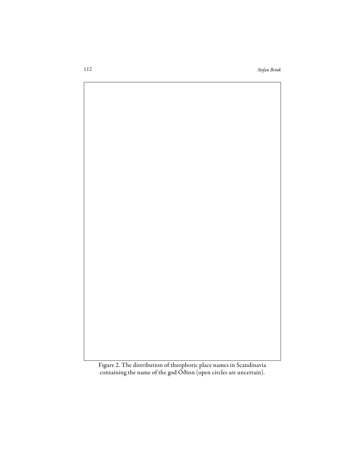

Figure 2. The distribution of theophoric place names in Scandinavia containing the name of the god Óðinn (open circles are uncertain).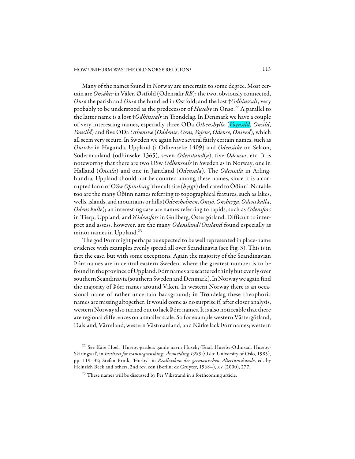Many of the names found in Norway are uncertain to some degree. Most certain are *Onsåker* in Våler, Østfold (Odensakr *RB*); the two, obviously connected, *Onsø* the parish and *Onsø* the hundred in Østfold; and the lost †*Odhinssalr*, very probably to be understood as the predecessor of *Huseby* in Onsø.<sup>22</sup> A parallel to the latter name is a lost †*Odhinssalr* in Trøndelag. In Denmark we have a couple of very interesting names, especially three ODa *Othenshyllæ* (*Vognsild*, *Onsild*, *Vonsild*) and five ODa *Othensvæ* (*Oddense*, *Oens*, *Vojens*, *Odense*, *Onsved*), which all seem very secure. In Sweden we again have several fairly certain names, such as *Onsicke* in Hagunda, Uppland (i Odhenseke 1409) and *Odensicke* on Selaön, Södermanland (odhinseke 1365), seven *Odenslund*(*a*), five *Odensvi*, etc. It is noteworthy that there are two OSw *Odhenssalr* in Sweden as in Norway, one in Halland (*Onsala*) and one in Jämtland (*Odensala*). The *Odensala* in Ärlinghundra, Uppland should not be counted among these names, since it is a corrupted form of OSw *Oþinsharg* 'the cult site (*ho3rgr*) dedicated to Óðinn'. Notable too are the many Óðinn names referring to topographical features, such as lakes, wells, islands, and mountains or hills (*Odensholmen*, *Onsjö*, *Onsberga*, *Odens källa*, *Odens kulle*); an interesting case are names referring to rapids, such as *Odensfors* in Tierp, Uppland, and ?*Odensfors* in Gullberg, Östergötland. Difficult to interpret and assess, however, are the many *Odensland*/*Onsland* found especially as minor names in Uppland.<sup>23</sup>

The god Þórr might perhaps be expected to be well represented in place-name evidence with examples evenly spread all over Scandinavia (see Fig. 3). This is in fact the case, but with some exceptions. Again the majority of the Scandinavian Þórr names are in central eastern Sweden, where the greatest number is to be found in the province of Uppland. Þórr names are scattered thinly but evenly over southern Scandinavia (southern Sweden and Denmark). In Norway we again find the majority of Þórr names around Viken. In western Norway there is an occasional name of rather uncertain background; in Trøndelag these theophoric names are missing altogether. It would come as no surprise if, after closer analysis, western Norway also turned out to lack Þórr names. It is also noticeable that there are regional differences on a smaller scale. So for example western Västergötland, Dalsland, Värmland, western Västmanland, and Närke lack Þórr names; western

<sup>&</sup>lt;sup>22</sup> See Kåre Hoel, 'Huseby-garders gamle navn: Huseby-Tesal, Huseby-Odinssal, Huseby-Skiringssal', in *Institutt for namnegransking: Årsmelding 1985* (Oslo: University of Oslo, 1985), pp. 119–32; Stefan Brink, 'Husby', in *Reallexikon der germanischen Altertumskunde*, ed. by Heinrich Beck and others, 2nd rev. edn (Berlin: de Gruyter, 1968–), XV (2000), 277.

 $^{23}$  These names will be discussed by Per Vikstrand in a forthcoming article.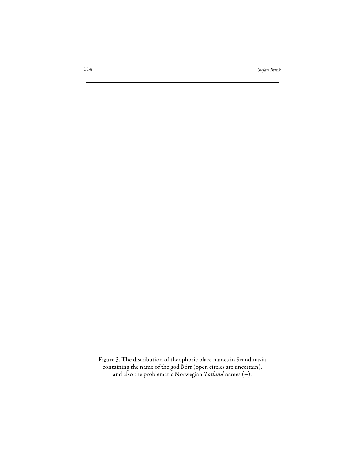

Figure 3. The distribution of theophoric place names in Scandinavia containing the name of the god Þórr (open circles are uncertain), and also the problematic Norwegian *Totland* names (+).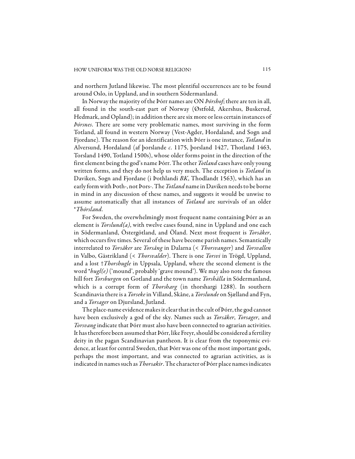and northern Jutland likewise. The most plentiful occurrences are to be found around Oslo, in Uppland, and in southern Södermanland.

In Norway the majority of the Þórr names are ON *Þórshof*; there are ten in all, all found in the south-east part of Norway (Østfold, Akershus, Buskerud, Hedmark, and Opland); in addition there are six more or less certain instances of *Þórsnes*. There are some very problematic names, most surviving in the form Totland, all found in western Norway (Vest-Agder, Hordaland, and Sogn and Fjordane). The reason for an identification with Þórr is one instance, *Totland* in Alversund, Hordaland (af þorslande *c*. 1175, þorsland 1427, Thotland 1463, Torsland 1490, Totland 1500s), whose older forms point in the direction of the first element being the god's name Þórr. The other *Totland* cases have only young written forms, and they do not help us very much. The exception is *Totland* in Daviken, Sogn and Fjordane (i Þothlandi *BK*, Thodlandt 1563), which has an early form with Þoth-, not Þors-. The *Totland* name in Daviken needs to be borne in mind in any discussion of these names, and suggests it would be unwise to assume automatically that all instances of *Totland* are survivals of an older \**Thórsland*.

For Sweden, the overwhelmingly most frequent name containing Þórr as an element is *Torslund(a)*, with twelve cases found, nine in Uppland and one each in Södermanland, Östergötland, and Öland. Next most frequent is *Torsåker*, which occurs five times. Several of these have become parish names. Semantically interrelated to *Torsåker* are *Torsång* in Dalarna (< *Thorsvanger*) and *Torsvallen* in Valbo, Gästrikland (< *Thorsvalder*). There is one *Torsvi* in Trögd, Uppland, and a lost †*Thorshugle* in Uppsala, Uppland, where the second element is the word \**hugl(e)* ('mound', probably 'grave mound'). We may also note the famous hill fort *Torsburgen* on Gotland and the town name *Torshälla* in Södermanland, which is a corrupt form of *Thorsharg* (in thorshargi 1288). In southern Scandinavia there is a *Torseke* in Villand, Skåne, a *Torslunde* on Sjælland and Fyn, and a *Torsager* on Djursland, Jutland.

The place-name evidence makes it clear that in the cult of Þórr, the god cannot have been exclusively a god of the sky. Names such as *Torsåker*, *Torsager*, and *Torsvang* indicate that Þórr must also have been connected to agrarian activities. It has therefore been assumed that Þórr, like Freyr, should be considered a fertility deity in the pagan Scandinavian pantheon. It is clear from the toponymic evidence, at least for central Sweden, that Þórr was one of the most important gods, perhaps the most important, and was connected to agrarian activities, as is indicated in names such as *Thorsakir*. The character of Þórr place names indicates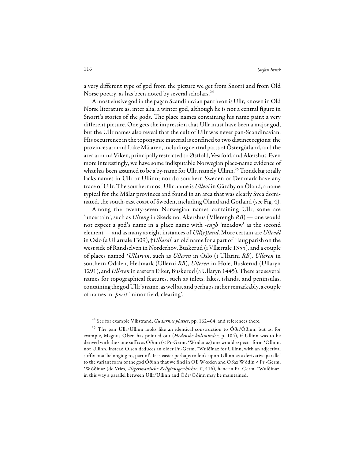a very different type of god from the picture we get from Snorri and from Old Norse poetry, as has been noted by several scholars.<sup>24</sup>

A most elusive god in the pagan Scandinavian pantheon is Ullr, known in Old Norse literature as, inter alia, a winter god, although he is not a central figure in Snorri's stories of the gods. The place names containing his name paint a very different picture. One gets the impression that Ullr must have been a major god, but the Ullr names also reveal that the cult of Ullr was never pan-Scandinavian. His occurrence in the toponymic material is confined to two distinct regions: the provinces around Lake Mälaren, including central parts of Östergötland, and the area around Viken, principally restricted to Østfold, Vestfold, and Akershus. Even more interestingly, we have some indisputable Norwegian place-name evidence of what has been assumed to be a by-name for Ullr, namely Ullinn.<sup>25</sup> Trøndelag totally lacks names in Ullr or Ullinn; nor do southern Sweden or Denmark have any trace of Ullr. The southernmost Ullr name is *Ullevi* in Gårdby on Öland, a name typical for the Mälar provinces and found in an area that was clearly Svea dominated, the south-east coast of Sweden, including Öland and Gotland (see Fig. 4).

Among the twenty-seven Norwegian names containing Ullr, some are 'uncertain', such as *Ulreng* in Skedsmo, Akershus (Vllerengh *RB*) — one would not expect a god's name in a place name with -*engh* 'meadow' as the second element — and as many as eight instances of *Ull*(*e*)*land*. More certain are *Ullevål* in Oslo (a Ullaruale 1309), †*Ullarál*, an old name for a part of Haug parish on the west side of Randselven in Norderhov, Buskerud (i Vllærrale 1355), and a couple of places named \**Ullarvin*, such as *Ulleren* in Oslo (i Ullarini *RB*), *Ulleren* in southern Odalen, Hedmark (Ullerni *RB*), *Ulleren* in Hole, Buskerud (Ullaryn 1291), and *Ulleren* in eastern Eiker, Buskerud (a Ullaryn 1445). There are several names for topographical features, such as inlets, lakes, islands, and peninsulas, containing the god Ullr's name, as well as, and perhaps rather remarkably, a couple of names in -*þveit* 'minor field, clearing'.

<sup>24</sup> See for example Vikstrand, *Gudarnas platser*, pp. 162–64, and references there.

 $^{25}$  The pair Ullr/Ullinn looks like an identical construction to Óðr/Óðinn, but as, for example, Magnus Olsen has pointed out (*Hedenske kultminder*, p. 104), if Ullinn was to be derived with the same suffix as Óðinn (< Pr-Germ. \*Wôdanaz) one would expect a form \*Ollinn, not Ullinn. Instead Olsen deduces an older Pr.-Germ. \*Wulðînaz for Ullinn, with an adjectival suffix -îna 'belonging to, part of'. It is easier perhaps to look upon Ullinn as a derivative parallel to the variant form of the god Óðinn that we find in OE Wœden and OSax Wôdin < Pr.-Germ. \*Wôðinaz (de Vries, *Altgermanische Religionsgeschichte*, II, 416), hence a Pr.-Germ. \*Wulðinaz; in this way a parallel between Ullr/Ullinn and Óðr/Óðinn may be maintained.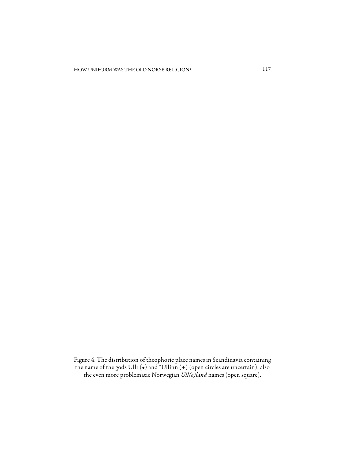

Figure 4. The distribution of theophoric place names in Scandinavia containing the name of the gods Ullr (•) and \*Ullinn (+) (open circles are uncertain); also the even more problematic Norwegian *Ull(e)land* names (open square).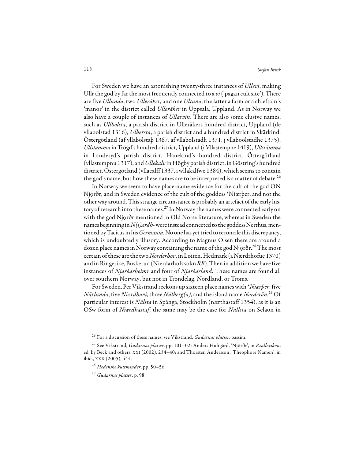For Sweden we have an astonishing twenty-three instances of *Ullevi*, making Ullr the god by far the most frequently connected to a *vi* ('pagan cult site'). There are five *Ullunda*, two *Ulleråker*, and one *Ultuna*, the latter a farm or a chieftain's 'manor' in the district called *Ulleråker* in Uppsala, Uppland. As in Norway we also have a couple of instances of *Ullarvin*. There are also some elusive names, such as *Ullbolsta*, a parish district in Ulleråkers hundred district, Uppland (de vllabolstad 1316), *Ulbersta*, a parish district and a hundred district in Skärkind, Östergötland (af vllabolstaþ 1367, af vllabolstadh 1371, j vllaboolstadhe 1375), *Ullstämma* in Trögd's hundred district, Uppland (i Vllastempne 1419), *Ullstämma* in Landeryd's parish district, Hanekind's hundred district, Östergötland (vllastempnu 1317), and*Ullekalv* in Högby parish district, in Göstring's hundred district, Östergötland (vllacalff 1337, i wllakalfwe 1384), which seems to contain the god's name, but how these names are to be interpreted is a matter of debate. $^{26}$ 

In Norway we seem to have place-name evidence for the cult of the god ON Njorðr, and in Sweden evidence of the cult of the goddess \*Niærþer, and not the other way around. This strange circumstance is probably an artefact of the early history of research into these names.<sup>27</sup> In Norway the names were connected early on with the god Njorðr mentioned in Old Norse literature, whereas in Sweden the names beginning in *N(i)ærdh*- were instead connected to the goddess Nerthus, mentioned by Tacitus in his *Germania*. No one has yet tried to reconcile this discrepancy, which is undoubtedly illusory. According to Magnus Olsen there are around a dozen place names in Norway containing the name of the god Nj $\varphi$ rdr.<sup>28</sup> The most certain of these are the two *Norderhov*, in Løiten, Hedmark (a Nærdrhofue 1370) and in Ringerike, Buskerud (Nierdarhofs sokn *RB*). Then in addition we have five instances of *Njarðarheimr* and four of *Njarðarland*. These names are found all over southern Norway, but not in Trøndelag, Nordland, or Troms.

For Sweden, Per Vikstrand reckons up sixteen place names with \**Niærþer*: five *Närlunda*, five *Niærdhavi*, three *Nälberg(a)*, and the island name *Norderön*.<sup>29</sup> Of particular interest is *Nälsta* in Spånga, Stockholm (nærthastaff 1354), as it is an OSw form of *Niærdhastaf*; the same may be the case for *Nällsta* on Selaön in

<sup>&</sup>lt;sup>26</sup> For a discussion of these names, see Vikstrand, *Gudarnas platser*, passim.

<sup>&</sup>lt;sup>27</sup> See Vikstrand, *Gudarnas platser*, pp. 101–02; Anders Hultgård, 'Njörðr', in *Reallexikon*, ed. by Beck and others, XXI (2002), 234–40; and Thorsten Andersson, 'Theophore Namen', in ibid., XXX (2005), 444.

<sup>&</sup>lt;sup>28</sup> Hedenske kultminder, pp. 50-56.

<sup>&</sup>lt;sup>29</sup> Gudarnas platser, p. 98.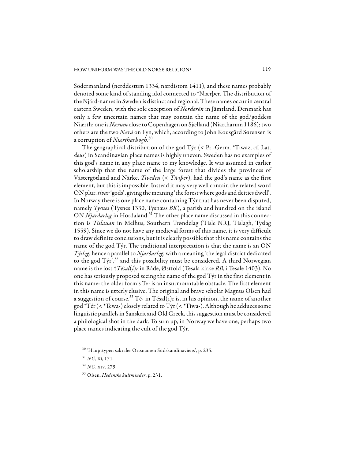Södermanland (nerddestum 1334, nærdistom 1411), and these names probably denoted some kind of standing idol connected to \*Niærþer. The distribution of the Njärd-names in Sweden is distinct and regional. These names occur in central eastern Sweden, with the sole exception of *Norderön* in Jämtland. Denmark has only a few uncertain names that may contain the name of the god/goddess Niærth: one is *Nærum* close to Copenhagen on Sjælland (Niartharum 1186); two others are the two *Nærå* on Fyn, which, according to John Kousgård Sørensen is a corruption of *Niærtharhøgh*. 30

The geographical distribution of the god Týr (< Pr.-Germ. \*Tîwaz, cf. Lat. *deus*) in Scandinavian place names is highly uneven. Sweden has no examples of this god's name in any place name to my knowledge. It was assumed in earlier scholarship that the name of the large forest that divides the provinces of Västergötland and Närke, *Tiveden* (< *Tîviþer*), had the god's name as the first element, but this is impossible. Instead it may very well contain the related word ON plur. *tívar* 'gods', giving the meaning 'the forest where gods and deities dwell'. In Norway there is one place name containing Týr that has never been disputed, namely *Tysnes* (Tysnes 1330, Tysnæss *BK*), a parish and hundred on the island ON *Njarðarlǫg* in Hordaland.<sup>31</sup> The other place name discussed in this connection is *Tislauan* in Melhus, Southern Trøndelag (Tisle NRJ, Tislagh, Tyslag 1559). Since we do not have any medieval forms of this name, it is very difficult to draw definite conclusions, but it is clearly possible that this name contains the name of the god Týr. The traditional interpretation is that the name is an ON *Týslo3g*, hence a parallel to *Njarðarlo3g*, with a meaning 'the legal district dedicated to the god  $Tyr^2$ , and this possibility must be considered. A third Norwegian name is the lost †*Tésal*(*i*)*r* in Råde, Østfold (Tesala kirke *RB*, i Tesale 1403). No one has seriously proposed seeing the name of the god Týr in the first element in this name: the older form's Te- is an insurmountable obstacle. The first element in this name is utterly elusive. The original and brave scholar Magnus Olsen had a suggestion of course.<sup>33</sup> Té- in Tésal(i)r is, in his opinion, the name of another god \*Tér (< \*Tewa-) closely related to Týr (< \*Tiwa-). Although he adduces some linguistic parallels in Sanskrit and Old Greek, this suggestion must be considered a philological shot in the dark. To sum up, in Norway we have one, perhaps two place names indicating the cult of the god Týr.

 $^{\rm 30}$  'Haupttypen sakraler Ortsnamen Südskandinaviens', p. 235.

 $^{31}$  *NG*, x<sub>I</sub>, 17<sub>1</sub>.

*NG*, XIV, 279. 32

Olsen, *Hedenske kultminder*, p. 231. 33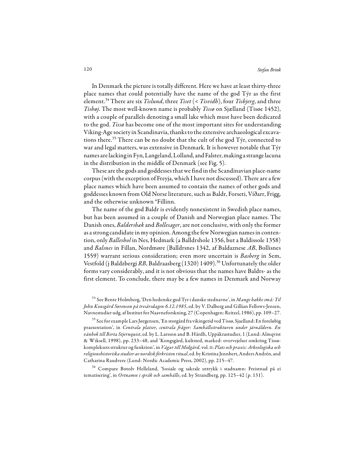In Denmark the picture is totally different. Here we have at least thirty-three place names that could potentially have the name of the god Týr as the first element.<sup>34</sup> There are six *Tislund*, three *Tiset* (< *Tisvidh*), four *Tisbjerg*, and three *Tishøj*. The most well-known name is probably *Tissø* on Sjælland (Tisøe 1452), with a couple of parallels denoting a small lake which must have been dedicated to the god. *Tissø* has become one of the most important sites for understanding Viking-Age society in Scandinavia, thanks to the extensive archaeological excavations there.<sup>35</sup> There can be no doubt that the cult of the god Týr, connected to war and legal matters, was extensive in Denmark. It is however notable that Týr names are lacking in Fyn, Langeland, Lolland, and Falster, making a strange lacuna in the distribution in the middle of Denmark (see Fig. 5).

These are the gods and goddesses that we find in the Scandinavian place-name corpus (with the exception of Freyja, which I have not discussed). There are a few place names which have been assumed to contain the names of other gods and goddesses known from Old Norse literature, such as Baldr, Forseti, Víðarr, Frigg, and the otherwise unknown \*Fillinn.

The name of the god Baldr is evidently nonexistent in Swedish place names, but has been assumed in a couple of Danish and Norwegian place names. The Danish ones, *Baldersbæk* and *Bollesager*, are not conclusive, with only the former as a strong candidate in my opinion. Among the few Norwegian names in contention, only *Balleshol* in Nes, Hedmark (a Balldrshole 1356, but a Baldissole 1358) and *Balsnes* in Fillan, Nordmøre (Balldrsnes 1342, af Baldaznese *AB*, Bollisnes 1559) warrant serious consideration; even more uncertain is *Basberg* in Sem, Vestfold (j Baldzbergi *RB*, Baldraasberg (1320) 1409).<sup>36</sup> Unfortunately the older forms vary considerably, and it is not obvious that the names have Baldrs- as the first element. To conclude, there may be a few names in Denmark and Norway

See Bente Holmberg, 'Den hedenske gud Tyr i danske stednavne', in *Mange bække små: Til* <sup>34</sup> *John Kousgård Sørensen på tresårsdagen 6.12.1985*,ed. by V. Dalberg and Gillian Fellows-Jensen, Navnestudier udg. af Institut for Naavneforskning, 27 (Copenhagen: Reitzel, 1986), pp. 109–27.

<sup>35</sup> See for example Lars Jørgensen, 'En storgård fra vikingetid ved Tissø, Sjaelland: En foreløbig praesentation', in *Centrala platser, centrala frågor: Samhällsstrukturen under järnåldern. En vänbok till Berta Stjernquist*, ed. by L. Larsson and B. Hårdh, Uppåkrastudier, 1 (Lund: Almqvist & Wiksell, 1998), pp. 233–48, and 'Kongsgård, kultsted, marked: overvejelser omkring Tissøkompleksets struktur og funktion', in *Vägar till Midgård*, vol. II: *Plats och praxis: Arkeologiska och religionshistoriska studier av nordisk förkristen ritual*, ed. by Kristina Jennbert, Anders Andrén, and Catharina Raudvere (Lund: Nordic Academic Press, 2002), pp. 215–47.

 $36$  Compare Botolv Helleland, 'Sosiale og sakrale uttrykk i stadnamn: Freistnad på ei tematisering', in *Ortnamn i språk och samhälle*, ed. by Strandberg, pp. 125–42 (p. 131).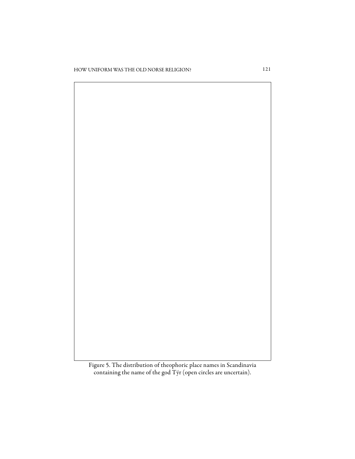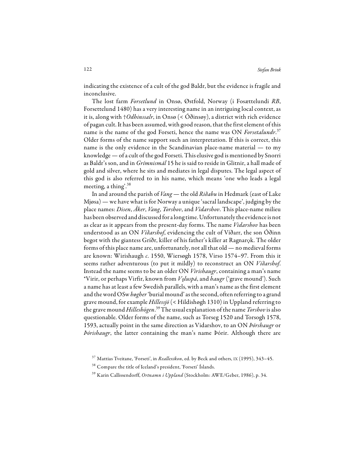indicating the existence of a cult of the god Baldr, but the evidence is fragile and inconclusive.

The lost farm *Forsetlund* in Onsø, Østfold, Norway (i Fosættelundi *RB*, Forsettelund 1480) has a very interesting name in an intriguing local context, as it is, along with †*Odhinssalr*, in Onsø (< Óðinsøy), a district with rich evidence of pagan cult. It has been assumed, with good reason, that the first element of this name is the name of the god Forseti, hence the name was ON *Forsetalundr*. 37 Older forms of the name support such an interpretation. If this is correct, this name is the only evidence in the Scandinavian place-name material — to my knowledge — of a cult of the god Forseti. This elusive god is mentioned by Snorri as Baldr's son, and in *Grímnismál* 15 he is said to reside in Glitnir, a hall made of gold and silver, where he sits and mediates in legal disputes. The legal aspect of this god is also referred to in his name, which means 'one who leads a legal meeting, a thing'.<sup>38</sup>

In and around the parish of *Vang* — the old *Riðabu* in Hedmark (east of Lake Mjøsa) — we have what is for Norway a unique 'sacral landscape', judging by the place names: *Disen*, *Åker*, *Vang*, *Torshov*, and *Vidarshov*. This place-name milieu has been observed and discussed for a long time. Unfortunately the evidence is not as clear as it appears from the present-day forms. The name *Vidarshov* has been understood as an ON *Víðarshof*, evidencing the cult of Víðarr, the son Óðinn begot with the giantess Gríðr, killer of his father's killer at Ragnarok. The older forms of this place name are, unfortunately, not all that old — no medieval forms are known: Wirishaugh *c*. 1550, Wiersøgh 1578, Virso 1574–97. From this it seems rather adventurous (to put it mildly) to reconstruct an ON *Víðarshof*. Instead the name seems to be an older ON *Virishaugr*, containing a man's name \*Virir, or perhaps Virfir, known from *Vo3luspá*, and *haugr* ('grave mound'). Such a name has at least a few Swedish parallels, with a man's name as the first element and the word OSw *høgher* 'burial mound' as the second, often referring to a grand grave mound, for example *Hillessjö* (< Hildishøgh 1310) in Uppland referring to the grave mound *Hilleshögen*.<sup>39</sup> The usual explanation of the name *Torshov* is also questionable. Older forms of the name, such as Torseg 1520 and Torsogh 1578, 1593, actually point in the same direction as Vidarshov, to an ON *Þórshaugr* or *Þórishaugr*, the latter containing the man's name Þórir. Although there are

<sup>&</sup>lt;sup>37</sup> Mattias Tveitane, 'Forseti', in *Reallexikon*, ed. by Beck and others, 1X (1995), 343–45.

 $^{38}$  Compare the title of Iceland's president, 'Forseti' Íslands.

<sup>&</sup>lt;sup>39</sup> Karin Callissendorff, *Ortnamn i Uppland* (Stockholm: AWE/Geber, 1986), p. 34.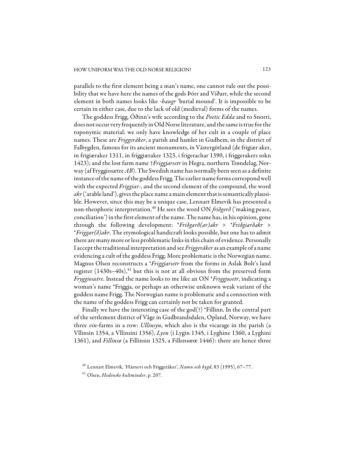parallels to the first element being a man's name, one cannot rule out the possibility that we have here the names of the gods Þórr and Víðarr, while the second element in both names looks like -*haugr* 'burial mound'. It is impossible to be certain in either case, due to the lack of old (medieval) forms of the names.

The goddess Frigg, Óðinn's wife according to the *Poetic Edda* and to Snorri, does not occur very frequently in Old Norse literature, and the same is true for the toponymic material: we only have knowledge of her cult in a couple of place names. These are *Friggeråker*, a parish and hamlet in Gudhem, in the district of Falbygden, famous for its ancient monuments, in Västergötland (de frigiær aker, in frigiæraker 1311, in friggiæraker 1323, i frigerachar 1390, i friggerakers sokn 1423); and the lost farm name †*Friggjarsetr* in Hegra, northern Trøndelag, Norway (af Fryggiosætre *AB*). The Swedish name has normally been seen as a definite instance of the name of the goddess Frigg. The earlier name forms correspond well with the expected *Friggiar-*, and the second element of the compound, the word *akr* ('arable land'), gives the place name a main element that is semantically plausible. However, since this may be a unique case, Lennart Elmevik has presented a non-theophoric interpretation.<sup>40</sup> He sees the word ON *fridgerd* ('making peace, conciliation') in the first element of the name. The name has, in his opinion, gone through the following development: \**Friðgærð(ar)akr* > \**Friðgiærðakr* > \**Friggær(ð)akr*. The etymological handicraft looks possible, but one has to admit there are many more or less problematic links in this chain of evidence. Personally I accept the traditional interpretation and see *Friggeråker* as an example of a name evidencing a cult of the goddess Frigg. More problematic is the Norwegian name. Magnus Olsen reconstructs a \**Friggjarsetr* from the forms in Aslak Bolt's land register  $(1430s-40s)$ ,<sup>41</sup> but this is not at all obvious from the preserved form *Fryggiosætre*. Instead the name looks to me like an ON \**Friggjusetr*, indicating a woman's name \*Friggja, or perhaps an otherwise unknown weak variant of the goddess name Frigg. The Norwegian name is problematic and a connection with the name of the goddess Frigg can certainly not be taken for granted.

Finally we have the interesting case of the god(?) \*Fillinn. In the central part of the settlement district of Våge in Gudbrandsdalen, Opland, Norway, we have three *vin*-farms in a row: *Ullinsyn*, which also is the vicarage in the parish (a Vllinsin 1354, a Vllinsini 1356), *Lyen* (i Lygin 1345, i Lyghine 1360, a Lyghini 1361), and *Fillinsø* (a Fillinsin 1325, a Fillensœœ 1446): there are hence three

Lennart Elmevik, 'Härnevi och Friggeråker', *Namn och bygd*, 83 (1995), 67–77. <sup>40</sup>

Olsen, *Hedenske kultminder*, p. 207. 41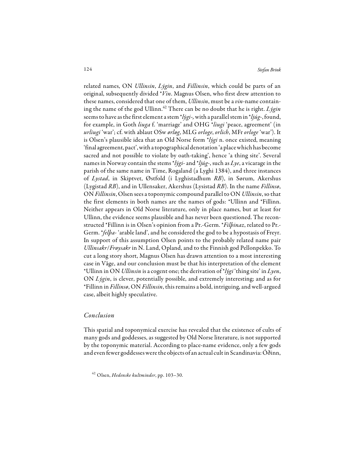related names, ON *Ullinsin*, *Lýgin*, and *Fillinsin*, which could be parts of an original, subsequently divided \**Vin*. Magnus Olsen, who first drew attention to these names, considered that one of them, *Ullinsin*, must be a *vin*-name containing the name of the god Ullinn.<sup>42</sup> There can be no doubt that he is right. *Lýgin* seems to have as the first element a stem \**lýgi-,* with a parallel stem in \**ljúg*-, found, for example, in Goth *liuga* f. 'marriage' and OHG \**liugi* 'peace, agreement' (in *urliugi* 'war'; cf. with ablaut OSw *ørløg*, MLG *orloge*, *orlich*, MFr *orloge* 'war'). It is Olsen's plausible idea that an Old Norse form \**lýgi* n. once existed, meaning 'final agreement, pact', with a topographical denotation 'a place which has become sacred and not possible to violate by oath-taking', hence 'a thing site'. Several names in Norway contain the stems \**lýgi*- and \**ljúg*-, such as *Lye*, a vicarage in the parish of the same name in Time, Rogaland (a Lyghi 1384), and three instances of *Lystad*, in Skiptvet, Østfold (i Lyghistadhum *RB*), in Sørum, Akershus (Lygistad *RB*), and in Ullensaker, Akershus (Lysistad *RB*). In the name *Fillinsø*, ON *Fillinsin*, Olsen sees a toponymic compound parallel to ON *Ullinsin*, so that the first elements in both names are the names of gods: \*Ullinn and \*Fillinn. Neither appears in Old Norse literature, only in place names, but at least for Ullinn, the evidence seems plausible and has never been questioned. The reconstructed \*Fillinn is in Olsen's opinion from a Pr.-Germ. \**Filþinaz*, related to Pr.- Germ. \**felþa*- 'arable land', and he considered the god to be a hypostasis of Freyr. In support of this assumption Olsen points to the probably related name pair *Ullinsakr*/*Frøysakr* in N. Land, Opland, and to the Finnish god Pellonpekko. To cut a long story short, Magnus Olsen has drawn attention to a most interesting case in Våge, and our conclusion must be that his interpretation of the element \*Ullinn in ON *Ullinsin* is a cogent one; the derivation of \**lýgi* 'thing site' in *Lyen*, ON *Lýgin*, is clever, potentially possible, and extremely interesting; and as for \*Fillinn in *Fillinsø*, ON *Fillinsin*, this remains a bold, intriguing, and well-argued case, albeit highly speculative.

# *Conclusion*

This spatial and toponymical exercise has revealed that the existence of cults of many gods and goddesses, as suggested by Old Norse literature, is not supported by the toponymic material. According to place-name evidence, only a few gods and even fewer goddesses were the objects of an actual cult in Scandinavia: Óðinn,

Olsen, *Hedenske kultminder*, pp. 103–30. 42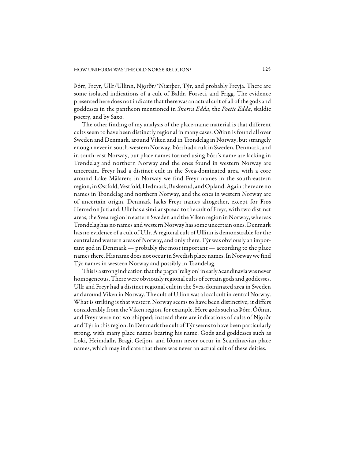Þórr, Freyr, Ullr/Ullinn, Njorðr/\*Niærþer, Týr, and probably Freyja. There are some isolated indications of a cult of Baldr, Forseti, and Frigg. The evidence presented here does not indicate that there was an actual cult of all of the gods and goddesses in the pantheon mentioned in *Snorra Edda*, the *Poetic Edda*, skaldic poetry, and by Saxo.

The other finding of my analysis of the place-name material is that different cults seem to have been distinctly regional in many cases. Óðinn is found all over Sweden and Denmark, around Viken and in Trøndelag in Norway, but strangely enough never in south-western Norway. Þórr had a cult in Sweden, Denmark, and in south-east Norway, but place names formed using Þórr's name are lacking in Trøndelag and northern Norway and the ones found in western Norway are uncertain. Freyr had a distinct cult in the Svea-dominated area, with a core around Lake Mälaren; in Norway we find Freyr names in the south-eastern region, in Østfold, Vestfold, Hedmark, Buskerud, and Opland. Again there are no names in Trøndelag and northern Norway, and the ones in western Norway are of uncertain origin. Denmark lacks Freyr names altogether, except for Frøs Herred on Jutland. Ullr has a similar spread to the cult of Freyr, with two distinct areas, the Svea region in eastern Sweden and the Viken region in Norway, whereas Trøndelag has no names and western Norway has some uncertain ones. Denmark has no evidence of a cult of Ullr. A regional cult of Ullinn is demonstrable for the central and western areas of Norway, and only there. Týr was obviously an important god in Denmark — probably the most important — according to the place names there. His name does not occur in Swedish place names. In Norway we find Týr names in western Norway and possibly in Trøndelag.

This is a strong indication that the pagan 'religion' in early Scandinavia was never homogeneous. There were obviously regional cults of certain gods and goddesses. Ullr and Freyr had a distinct regional cult in the Svea-dominated area in Sweden and around Viken in Norway. The cult of Ullinn was a local cult in central Norway. What is striking is that western Norway seems to have been distinctive; it differs considerably from the Viken region, for example. Here gods such as Þórr, Óðinn, and Freyr were not worshipped; instead there are indications of cults of Njordr and Týr in this region. In Denmark the cult of Týr seems to have been particularly strong, with many place names bearing his name. Gods and goddesses such as Loki, Heimdallr, Bragi, Gefjon, and Iðunn never occur in Scandinavian place names, which may indicate that there was never an actual cult of these deities.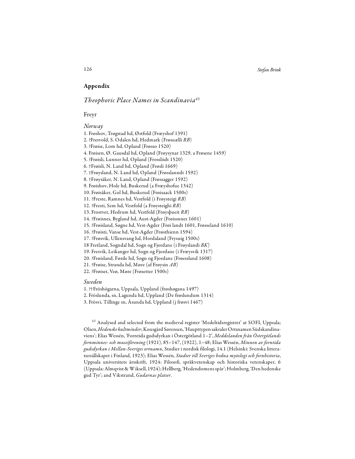# Appendix

# *Theophoric Place Names in Scandinavia<sup>43</sup>*

Freyr

#### *Norway*

1. Frøshov, Trøgstad hd, Østfold (Frœyshof 1391)

2. ?Fresvold, S. Odalen hd, Hedmark (Frøsuælli *RB*)

3. ?Frøise, Lom hd, Opland (Frøsso 1520)

4. Frøisen, Ø. Gausdal hd, Opland (Frøysynar 1329, a Frøsene 1459)

5. ?Frøisli, Lunner hd, Opland (Frossliidt 1520)

6. †Frøisli, N. Land hd, Opland (Frøsli 1669)

7. †Frøysland, N. Land hd, Opland (Frøsslanndt 1592)

8. †Frøysåker, N. Land, Opland (Frøssagger 1592)

9. Frøishov, Hole hd, Buskerud (a Frœyshofue 1342)

10. Frøisåker, Gol hd, Buskerud (Frøisaack 1500s)

11. ?Freste, Ramnes hd, Vestfold (i Frøysteigi *RB*)

12. ?Fresti, Sem hd, Vestfold (a Frøysteighi *RB*)

13. Frostvet, Hedrum hd, Vestfold (Frøysþueit *RB*)

14. ?Frøisnes, Bygland hd, Aust-Agder (Frøissnnes 1601)

15. ?Frøisland, Søgne hd, Vest-Agder (Frøi landt 1601, Frøsseland 1610)

16. ?Frøisti, Vanse hd, Vest-Agder (Frøsthienn 1594)

17. ?Frøsvik, Ullensvang hd, Hordaland (Frysuig 1500s)

18 Fretland, Sogndal hd, Sogn og Fjordane (i Frøyslandi *BK*)

19. Fresvik, Leikanger hd, Sogn og Fjordane (i Frœysvik 1317)

20. ?Frøisland, Førde hd, Sogn og Fjordane (Frøessland 1608)

21. ?Frøise, Stranda hd, Møre (af Frøysin *AB*)

22. ?Frøiset, Veø, Møre (Frøsetter 1500s)

## *Sweden*

1. ?†Fröshögarna, Uppsala, Uppland (frøshøgana 1497)

2. Fröslunda, sn, Lagunda hd, Uppland (De frøslundum 1314)

3. Frösvi, Tillinge sn, Åsunda hd, Uppland (j frøsvi 1467)

 $^{43}$  Analysed and selected from the medieval register 'Medeltidsregistret' at SOFI, Uppsala; Olsen, *Hedenske kultminder*; Kousgård Sørensen, 'Haupttypen sakraler Ortsnamen Südskandinaviens'; Elias Wessén, 'Forntida gudsdyrkan i Östergötland 1–2', *Meddelanden från Östergötlands fornminnes- och museiförening* (1921), 85–147, (1922), 1–48; Elias Wessén, *Minnen av forntida gudsdyrkan i Mellan-Sveriges ortnamn*, Studier i nordisk filologi, 14.1 (Helsinki: Svenska litteratursällskapet i Finland, 1923); Elias Wessén, *Studier till Sveriges hedna mytologi och fornhistoria*, Uppsala universitets årsskrift, 1924: Filosofi, språkvetenskap och historiska vetenskaper, 6 (Uppsala: Almqvist & Wiksell, 1924); Hellberg, 'Hedendomens spår'; Holmberg, 'Den hedenske gud Tyr'; and Vikstrand, *Gudarnas platser*.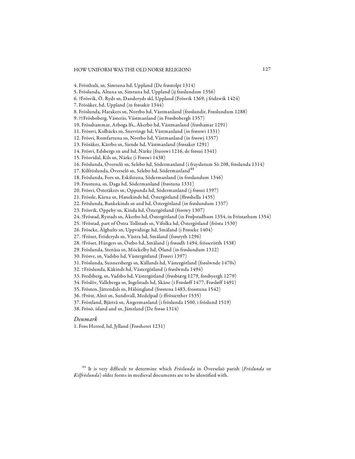- 4. Frösthult, sn, Simtuna hd, Uppland (De frøstolpt 1314)
- 5. Fröslunda, Altuna sn, Simtuna hd, Uppland (ij frøslundum 1356)
- 6. ?Frösvik, Ö. Ryds sn, Danderyds skl, Uppland (Frösvik 1369, j fridzwik 1424)
- 7. Frösåker, hd, Uppland (in frøsakir 1344)
- 8. Fröslunda, Harakers sn, Norrbo hd, Västmanland (frøslundir, Frøslundum 1288)
- 9. ?†Frösboberg, Västerås, Västmanland (in Frøsbobergh 1357)
- 10. Frösshammar, Arboga lfs., Åkerbo hd, Västmanland (frøshamar 1291)
- 11. Frössvi, Kolbäcks sn, Snevringe hd, Västmanland (in frøsswi 1331)
- 12. Frösvi, Romfartuna sn, Norrbo hd, Västmanland (in frøswj 1357)
- 13. Frösåker, Kärrbo sn, Siende hd, Västmanland (frøsaker 1291)
- 14. Frösvi, Edsbergs sn and hd, Närke (fruoswi 1216, de frøsui 1341)
- 15. Frösvidal, Kils sn, Närke (i Frøswi 1438)
- 16. Fröslunda, Överselö sn, Selebo hd, Södermanland (i frayslutum Sö 208, frøslunda 1314)
- 17. Kilfröslunda, Överselö sn, Selebo hd, Södermanland<sup>44</sup>
- 18. Fröslunda, Fors sn, Eskilstuna, Södermanland (in frøslundum 1346)
- 19. Frustuna, sn, Daga hd, Södermanland (frøstuna 1331)
- 20. Frösvi, Österåkers sn, Oppunda hd, Södermanland (j frøsui 1397)
- 21. Frössle, Kärna sn, Hanekinds hd, Östergötland (ffrøshella 1435)
- 22. Fröslunda, Bankekinds sn and hd, Östergötland (in frøslundum 1337)
- 23. Frösvik, Oppeby sn, Kinda hd, Östergötland (frøswy 1307)
- 24. ?Fröstad, Rystads sn, Åkerbo hd, Östergötland (in Frøþstadhum 1354, in Fröstathum 1354)
- 25. ?Fröstad, part of Östra Tollstads sn, Vifolka hd, Östergötland (frösta 1530)
- 26. Fröseke, Älghults sn, Uppvidinge hd, Småland (i Frøseke 1404)
- 27. ?Fröset, Fröderyds sn, Västra hd, Småland (frøsryth 1296)
- 28. ?Fröset, Hångers sn, Östbo hd, Småland (j frøsidh 1494, frösseriitth 1538)
- 29. Fröslunda, Stenåsa sn, Möckelby hd, Öland (in frøslundum 1312)
- 30. Frösve, sn, Vadsbo hd, Västergötland (Frøsvi 1397)
- 31. Fröslunda, Sunnersbergs sn, Kållands hd, Västergötland (frøslwnde 1470s)
- 32. †Fröslunda, Kåkinds hd, Västergötland (i frøslwnda 1494)
- 33. Fredsberg, sn, Vadsbo hd, Västergötland (frøsbiærg 1279, frøsbyergh 1279)
- 34. Fröslöv, Valleberga sn, Ingelstads hd, Skåne (i Frøsløff 1477, Frøsløff 1491)
- 35. Frösten, Jättendals sn, Hälsingland (frøstena 1483, frosstuna 1542)
- 36. ?Fröst, Alnö sn, Sundsvall, Medelpad (i ffrössetther 1535)
- 37. Fröstland, Bjärtrå sn, Ångermanland (i fröslunda 1500, i fröslund 1519)
- 38. Frösö, island and sn, Jämtland (De frøsø 1314)

#### *Denmark*

1. Frøs Herred, hd, Jylland (Frøsheret 1231)

<sup>44</sup> It is very difficult to determine which *Fröslunda* in Överselaö parish (*Fröslunda* or *Kilfröslunda*) older forms in medieval documents are to be identified with.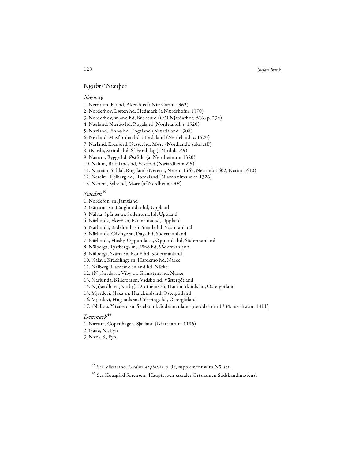# Njorðr/\*Niærþer

#### *Norway*

- 1. Nerdrum, Fet hd, Akershus (i Niærdarini 1363)
- 2. Norderhov, Løiten hd, Hedmark (a Nærdrhofue 1370)
- 3. Norderhov, sn and hd, Buskerud (ON Njarðarhof; *NSL* p. 234)
- 4. Nærland, Nærbø hd, Rogaland (Nordelandh *c*. 1520)
- 5. Nærland, Finnø hd, Rogaland (Niærdaland 1308)
- 6. Nørland, Masfjorden hd, Hordaland (Nerdelandt *c*. 1520)
- 7. Nerland, Eresfjord, Nesset hd, Møre (Nordlandæ sokn *AB*)
- 8. ?Nardo, Strinda hd, S.Trøndelag (i Nirdole *AB*)
- 9. Nærum, Rygge hd, Østfold (af Nerdheimum 1320)
- 10. Nalum, Brunlanes hd, Vestfold (Næiardheim *RB*)
- 11. Næreim, Suldal, Rogaland (Nerenn, Nerem 1567, Nerrimb 1602, Nerim 1610)
- 12. Nereim, Fjelberg hd, Hordaland (Niardhæims sokn 1326)
- 13. Nærem, Sylte hd, Møre (af Nerdheime *AB*)

# $Sweden<sup>45</sup>$

1. Norderön, sn, Jämtland

- 2. Närtuna, sn, Långhundra hd, Uppland
- 3. Nälsta, Spånga sn, Sollentuna hd, Uppland
- 4. Närlunda, Ekerö sn, Färentuna hd, Uppland
- 5. Närlunda, Badelunda sn, Siende hd, Västmanland
- 6. Närlunda, Gåsinge sn, Daga hd, Södermanland
- 7. Närlunda, Husby-Oppunda sn, Oppunda hd, Södermanland
- 8. Nälberga, Tystberga sn, Rönö hd, Södermanland
- 9. Nälberga, Svärta sn, Rönö hd, Södermanland
- 10. Nalavi, Kräcklinge sn, Hardemo hd, Närke
- 11. Nälberg, Hardemo sn and hd, Närke
- 12. †N(i)ærdarvi, Viby sn, Grimstens hd, Närke
- 13. Närlunda, Bällefors sn, Vadsbo hd, Västergötland
- 14. N(i)ærdhavi (Närby), Drothems sn, Hammarkinds hd, Östergötland
- 15. Mjärdevi, Slaka sn, Hanekinds hd, Östergötland
- 16. Mjärdevi, Hogstads sn, Göstrings hd, Östergötland
- 17. ?Nällsta, Ytterselö sn, Selebo hd, Södermanland (nerddestum 1334, nærdistom 1411)

# $Denmark<sup>46</sup>$

- 1. Nærum, Copenhagen, Sjælland (Niartharum 1186)
- 2. Nærå, N., Fyn
- 3. Nærå, S., Fyn

<sup>45</sup> See Vikstrand, *Gudarnas platser*, p. 98, supplement with Nällsta.

<sup>46</sup> See Kousgård Sørensen, 'Haupttypen sakraler Ortsnamen Südskandinaviens'.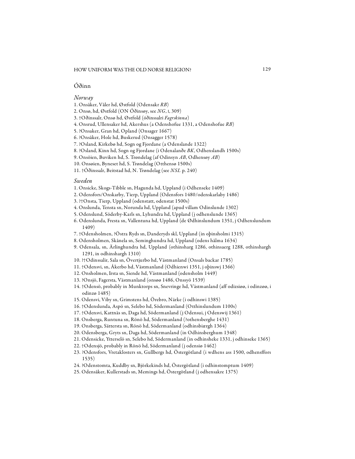#### HOW UNIFORM WAS THE OLD NORSE RELIGION? 129

## Óðinn

*Norway*

- 1. Onsåker, Våler hd, Østfold (Odensakr *RB*)
- 2. Onsø, hd, Østfold (ON Óðinsøy, see *NG*, I, 309)
- 3. †Oðinssalr, Onsø hd, Østfold (óðinssalri *Fagrskinna*)
- 4. Onsrud, Ullensaker hd, Akershus (a Odenshofue 1331, a Odenshofue *RB*)
- 5. ?Onsaker, Gran hd, Opland (Onsager 1667)
- 6. ?Onsåker, Hole hd, Buskerud (Onsagger 1578)
- 7. ?Osland, Kirkebø hd, Sogn og Fjordane (a Odenslande 1322)
- 8. ?Osland, Kinn hd, Sogn og Fjordane (i Odenalanðe *BK*, Odhenslandh 1500s)
- 9. Onsöien, Buviken hd, S. Trøndelag (af Odinsyn *AB*, Odhensøy *AB*)
- 10. Onsøien, Byneset hd, S. Trøndelag (Otthensø 1500s)
- 11. †Óðinssalr, Beitstad hd, N. Trøndelag (see *NSL* p. 240)

#### *Sweden*

- 1. Onsicke, Skogs-Tibble sn, Hagunda hd, Uppland (i Odhenseke 1409)
- 2. Odensfors/Onskarby, Tierp, Uppland (Odensfors 1480/odenskarlaby 1486)
- 3. ?†Onsta, Tierp, Uppland (odenstatt, odenstat 1500s)
- 4. Onslunda, Tensta sn, Norunda hd, Uppland (apud villam Odinslunde 1302)
- 5. Odenslund, Söderby-Karls sn, Lyhundra hd, Uppland (j odhenslunde 1365)
- 6. Odenslunda, Fresta sn, Vallentuna hd, Uppland (de Ødhinslundum 1351, j Odhenslundum 1409)
- 7. †Odensholmen, ?Östra Ryds sn, Danderyds skl, Uppland (in oþinsholmi 1315)
- 8. Odensholmen, Skånela sn, Seminghundra hd, Uppland (odens hålma 1634)
- 9. Odensala, sn, Ärlinghundra hd, Uppland (othinsharg 1286, othinsaerg 1288, othinshargh 1291, in odhinshargh 1310)
- 10. ?†Odinssalir, Sala sn, Övertjurbo hd, Västmanland (Onsals backar 1785)
- 11. †Odensvi, sn, Åkerbo hd, Västmanland (Odhienwi 1351, j oþinswj 1366)
- 12. Onsholmen, Irsta sn, Siende hd, Västmanland (odensholm 1449)
- 13. ?Onsjö, Fagersta, Västmanland (onsøø 1486, Onssyö 1539)
- 14. †Odensö, probably in Munktorps sn, Snevringe hd, Västmanland (aff odizsiøø, i odinzøø, i odinzø 1485)
- 15. Odensvi, Viby sn, Grimstens hd, Örebro, Närke (i odhinswi 1385)
- 16. †Odenslunda, Aspö sn, Selebo hd, Södermanland (Otthinslundum 1100s)
- 17. †Odensvi, Kattnäs sn, Daga hd, Södermanland (j Odensui, j Odenswij 1361)
- 18. Onsberga, Runtuna sn, Rönö hd, Södermanland (?othensberghe 1431)
- 19. Onsberga, Sättersta sn, Rönö hd, Södermanland (odhinsbiærgh 1364)
- 20. Odensberga, Gryts sn, Daga hd, Södermanland (in Odhinsberghum 1348)
- 21. Odensicke, Ytterselö sn, Selebo hd, Södermanland (in odhinsheke 1331, j odhinseke 1365)
- 22. †Odensjö, probably in Rönö hd, Södermanland (j odensiø 1462)
- 23. ?Odensfors, Vretaklosters sn, Gullbergs hd, Östergötland (i wdhens ass 1500, odhensffors 1535)
- 24. ?Odenstomta, Kuddby sn, Björkekinds hd, Östergötland (i odhinstomptum 1409)
- 25. Odensåker, Kullerstads sn, Memings hd, Östergötland (j odhensakre 1375)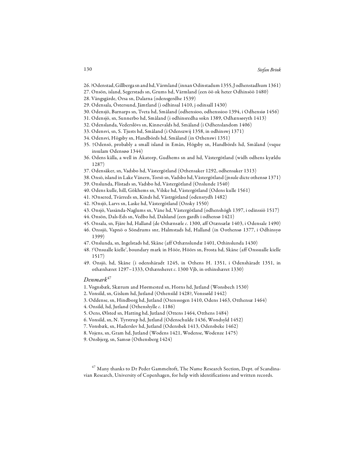- 26. ?Odenstad, Gillberga sn and hd, Värmland (innan Odinstadum 1355, J odhenstadhum 1361)
- 27. Onsön, island, Segerstads sn, Grums hd, Värmland (een öö ok heter Odhinsöö 1480)
- 28. Vångsgärde, Orsa sn, Dalarna (odensgerdhe 1539)
- 29. Odensala, Östersund, Jämtland (i odhinsal 1410, j odinsall 1430)
- 30. Odensjö, Barnarps sn, Tveta hd, Småland (odhensioo, odhenssioo 1394, i Odhensiø 1456)
- 31. Odensjö, sn, Sunnerbo hd, Småland (i odhinsredha sokn 1389, Odhænsøryth 1413)
- 32. Odenslanda, Vederslövs sn, Kinnevalds hd, Småland (i Odhenslandom 1406)
- 33. Odensvi, sn, S. Tjusts hd, Småland (i Odenszwij 1358, in odhinswj 1371)
- 34. Odensvi, Högsby sn, Handbörds hd, Småland (in Othenswi 1351)
- 35. †Odensö, probably a small island in Emån, Högsby sn, Handbörds hd, Småland (vsque insulam Odensøø 1344)
- 36. Odens källa, a well in Åkatorp, Gudhems sn and hd, Västergötland (widh odhens kyældu 1287)
- 37. Odensåker, sn, Vadsbo hd, Västergötland (Othensaker 1292, odhensaker 1313)
- 38. Onsö, island in Lake Vänern, Torsö sn, Vadsbo hd,Västergötland (jnsule dicte othensø 1371)
- 39. Onslunda, Flistads sn, Vadsbo hd, Västergötland (Onslunde 1540)
- 40. Odens kulle, hill, Gökhems sn, Vilske hd, Västergötland (Odens kulle 1561)
- 41. ?Onsered, Tvärreds sn, Kinds hd, Västrgötland (odensrydh 1482)
- 42. ?Onsjö, Larvs sn, Laske hd, Västergötland (Onsky 1550)
- 43. Onsjö, Vassända-Naglums sn, Väne hd, Västergötland (odhenshögh 1397, i odinssiö 1517)
- 44. Onsön, Dals-Eds sn, Vedbo hd, Dalsland (een gardh i odhensø 1421)
- 45. Onsala, sn, Fjäre hd, Halland (de Othænsæle *c*. 1300, aff Otænsælæ 1403, i Odensale 1490)
- 46. Onssjö, Vapnö o Söndrums snr, Halmstads hd, Halland (in Oothensø 1377, i Odhinsyø 1399)
- 47. Onslunda, sn, Ingelstads hd, Skåne (aff Othænslundæ 1401, Othinslunda 1430)
- 48. ?'Onsualle kielle', boundary mark in Höör, Höörs sn, Frosta hd, Skåne (aff Onssualle kielle 1517)
- 49. Onsjö, hd, Skåne (i odenshäradt 1245, in Othens H. 1351, i Odenshäradt 1351, in othænhæret 1297–1333, Othænsheret *c*. 1300 Vjb, in othinshæret 1330)

### *Denmark*<sup>47</sup>

- 1. Vognsbæk, Skærum and Hørmested sn, Horns hd, Jutland (Wonsbech 1530)
- 2. Vonsild, sn, Gislum hd, Jutland (Othensild 1428?, Vonssøld 1442)
- 3. Oddense, sn, Hindborg hd, Jutland (Otenssogen 1410, Odens 1463, Otthensæ 1464)
- 4. Onsild, hd, Jutland (Othenshylle *c*. 1186)
- 5. Oens, Ølsted sn, Hatting hd, Jutland (Ottens 1464, Otthens 1484)
- 6. Vonsild, sn, N. Tyrstrup hd, Jutland (Odenschulde 1436, Wondsyld 1452)
- 7. Vonsbæk, sn, Haderslev hd, Jutland (Odensbek 1413, Odensbeke 1462)
- 8. Vojens, sn, Gram hd, Jutland (Wodens 1421, Wodense, Wodenze 1475)
- 9. Onsbjerg, sn, Samsø (Othensberg 1424)

 $^{47}$  Many thanks to Dr Peder Gammeltoft, The Name Research Section, Dept. of Scandinavian Research, University of Copenhagen, for help with identifications and written records.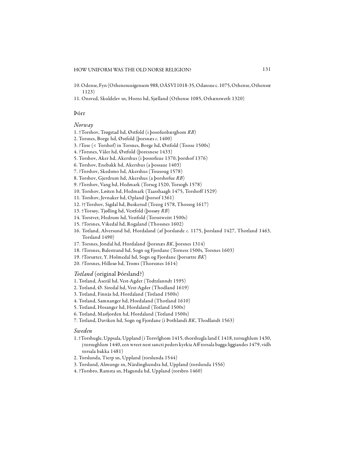- 10. Odense, Fyn (Othenesuuigensem 988, OÄSVI 1018-35, Odansue c. 1075, Othense, Othensœ 1123)
- 11. Onsved, Skuldelev sn, Horns hd, Sjælland (Othense 1085, Othænsweth 1320)

#### Þórr

#### *Norway*

- 1. †Torshov, Trøgstad hd, Østfold (i þosofuobærghom *RB*)
- 2. Torsnes, Borge hd, Østfold (þorsnæs *c*. 1400)
- 3. ?Tose (< Torshof) in Torsnes, Borge hd, Østfold (Tossse 1500s)
- 4. ?Torsnes, Våler hd, Østfold (þoresnese 1433)
- 5. Torshov, Aker hd, Akershus (i þossofuue 1370, þorshof 1376)
- 6. Torshov, Enebakk hd, Akershus (a þossaue 1403)
- 7. ?Torshov, Skedsmo hd, Akershus (Tousoug 1578)
- 8. Torshov, Gjerdrum hd, Akershus (a þorshofue *RB*)
- 9. ?Torshov, Vang hd, Hedmark (Torseg 1520, Torsogh 1578)
- 10. Torshov, Løiten hd, Hedmark (Taasshaagh 1475, Torshoff 1529)
- 11. Torshov, Jevnaker hd, Opland (þorsof 1361)
- 12. ?†Torshov, Sigdal hd, Buskerud (Tozog 1578, Thossog 1617)
- 13. †Torsøy, Tjølling hd, Vestfold (þossøy *RB*)
- 14. Torstvet, Hedrum hd, Vestfold (Torsstweitt 1500s)
- 15. ?Torsnes, Vikedal hd, Rogaland (Thossnes 1602)
- 16. Totland, Alversund hd, Hordaland (af þorslande *c*. 1175, þorsland 1427, Thotland 1463, Torsland 1490)
- 17. Torsnes, Jondal hd, Hordaland (þorsnæs *BK*, þorsnes 1314)
- 18. ?Torsnes, Balestrand hd, Sogn og Fjordane (Torness 1500s, Torsnes 1603)
- 19. ?Torsæter, Y. Holmedal hd, Sogn og Fjordane (þorsætre *BK*)
- 20. ?Torsnes, Hillesø hd, Troms (Thorssnes 1614)

### *Totland* (original Þórsland?)

- 1. Totland, Åserål hd, Vest-Agder (Todtzlanndt 1595)
- 2. Totland, Ø. Siredal hd, Vest-Agder (Thodland 1619)
- 3. Totland, Finnås hd, Hordaland (Totland 1500s)
- 4. Totland, Samnanger hd, Hordaland (Thotland 1610)
- 5. Totland, Hosanger hd, Hordaland (Totland 1500s)
- 6. Totland, Masfjorden hd, Hordaland (Totland 1500s)
- 7. Totland, Daviken hd, Sogn og Fjordane (i Þothlandi *BK*, Thodlandt 1563)

#### *Sweden*

- 1. †Torshugle, Uppsala, Uppland (iTorsvlghom 1415, thorshugla land f. 1418, torsughlum 1430, jtorsughlum 1440, een wreet nest sancti peders kyrkia Aff torsala bagga liggiandes 1479, vidh torsala bakka 1481)
- 2. Torslunda, Tierp sn, Uppland (torslunda 1544)
- 3. Torslund, Almunge sn, Närdinghundra hd, Uppland (torslunda 1556)
- 4. ?Torsbro, Ramsta sn, Hagunda hd, Uppland (torsbro 1460)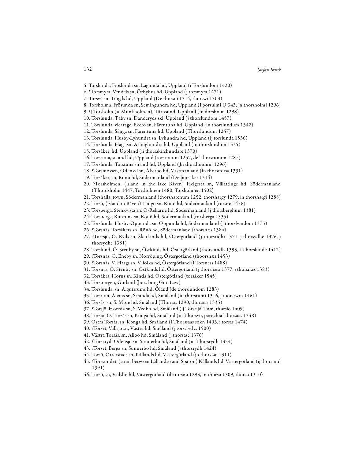- 5. Torslunda, Fröslunda sn, Lagunda hd, Uppland (i Torslundom 1420)
- 6. ?Torsmyra, Vendels sn, Örbyhus hd, Uppland (j torsmyra 1471)
- 7. Torsvi, sn, Trögds hd, Uppland (De thorsui 1314, thorswi 1303)
- 8. Torsholma, Frösunda sn, Semingundra hd, Uppland (I þorsulmi U 343, Jn thorsholmi 1296)
- 9. ?†Torsholm (= Munkholmen), Tärnsund, Uppland (in dorsholm 1298)
- 10. Torslunda, Täby sn, Danderyds skl, Uppland (j thorslundom 1457)
- 11. Torslunda, vicarage, Ekerö sn, Färentuna hd, Uppland (in thorslundum 1342)
- 12. Torslunda, Sånga sn, Färentuna hd, Uppland (Thorslundum 1257)
- 13. Torslunda, Husby-Lyhundra sn, Lyhundra hd, Uppland (ij torslunda 1536)
- 14. Torslunda, Haga sn, Ärlinghundra hd, Uppland (in thorslundum 1335)
- 15. Torsåker, hd, Uppland (ii thorsakirshundare 1370)
- 16. Torstuna, sn and hd, Uppland (torstunum 1257, de Thorstunum 1287)
- 17. Torslunda, Torstuna sn and hd, Uppland (Jn thorslundum 1296)
- 18. ?Torsmossen, Odensvi sn, Åkerbo hd, Västmanland (in thorsmusa 1331)
- 19. Torsåker, sn, Rönö hd, Södermanland (De þorsaker 1314)
- 20. ?Torsholmen, (island in the lake Båven) Helgesta sn, Villåttinge hd, Södermanland (Thordsholm 1447, Torsholmen 1480, Torsholmen 1502)
- 21. Torshälla, town, Södermanland (thorsharchum 1252, thorshargy 1279, in thorshargi 1288)
- 22. Torsö, (island in Båven) Ludgo sn, Rönö hd, Södermanland (torsøø 1476)
- 23. Torsberga, Stenkvista sn, Ö-Rekarne hd, Södermanland (j thorsberghum 1381)
- 24. Torsberga, Runtuna sn, Rönö hd, Södermanland (torsberga 1535)
- 25. Torslunda, Husby-Oppunda sn, Oppunda hd, Södermanland (j thorslwndom 1375)
- 26. ?Torsnäs, Torsåkers sn, Rönö hd, Södermanland (thorsnæs 1384)
- 27. ?Torrsjö, Ö. Ryds sn, Skärkinds hd, Östergötland (j thorsridhi 1371, j thorsydhe 1376, j thorsydhe 1381)
- 28. Torslund, Ö. Stenby sn, Östkinds hd, Östergötland (thorslundh 1393, i Thorslunde 1412)
- 29. ?Torsnäs, Ö. Eneby sn, Norröping, Östergötland (thoorsnæs 1453)
- 30. ?Torsnäs, V. Hargs sn, Vifolka hd, Östergötland (i Torsness 1488)
- 31. Torsnäs, Ö. Stenby sn, Östkinds hd, Östergötland (j thorsnæsi 1377, j thorsnæs 1383)
- 32. Torsåkra, Horns sn, Kinda hd, Östergötland (torsåker 1545)
- 33. Torsburgen, Gotland (þors borg GutaLaw)
- 34. Torslunda, sn, Algutsrums hd, Öland (de thorslundom 1283)
- 35. Torsrum, Ålems sn, Stranda hd, Småland (in thorsrumi 1316, j toorsrwm 1461)
- 36. Torsås, sn, S. Möre hd, Småland (Thorsas 1290, thorsaas 1335)
- 37. ?Torsjö, Höreda sn, S. Vedbo hd, Småland (ij Torsrijd 1406, thørsio 1409)
- 38. Torsjö, Ö. Torsås sn, Konga hd, Småland (in Thorsyo, parochia Thorsaas 1348)
- 39. Östra Torsås, sn, Konga hd, Småland (i Thorssaas sokn 1403, i torsas 1474)
- 40. ?Torset, Vallsjö sn, Västra hd, Småland (j torssryd *c*. 1500)
- 41. Västra Torsås, sn, Allbo hd, Småland (j thorsase 1376)
- 42. ?Torseryd, Odensjö sn, Sunnerbo hd, Småland (in Thorsrydh 1354)
- 43. ?Torset, Berga sn, Sunnerbo hd, Småland (j thorsrydh 1424)
- 44. Torsö, Otterstads sn, Kållands hd, Västergötland (jn thors øø 1311)
- 45. ?Torssundet, (strait between Lållandsö and Spårön) Kållands hd, Västergötland (ij thorsund 1391)
- 46. Torsö, sn, Vadsbo hd, Västergötland (de torsøø 1293, in thorsø 1309, thorsø 1310)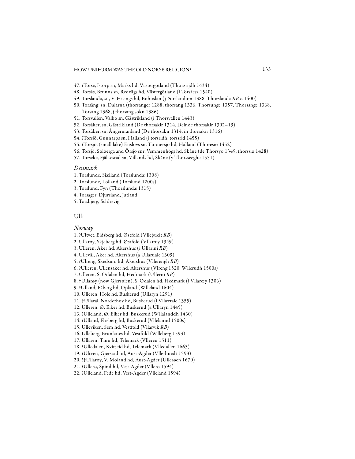- 47. ?Torse, Istorp sn, Marks hd, Västergötland (Thorzrijdh 1434)
- 48. Torsås, Brunns sn, Redvägs hd, Västergötland (i Torsåesz 1540)
- 49. Torslanda, sn, V. Hisings hd, Bohuslän (j Þorslandum 1388, Thorslanda *RB c*. 1400)
- 50. Torsång, sn, Dalarna (thorsanger 1288, thorsang 1336, Thorsunge 1357, Thorsange 1368, Torsang 1368, j thorsang sokn 1386)
- 51. Torsvallen, Valbo sn, Gästrikland (i Thorsvallen 1443)
- 52. Torsåker, sn, Gästrikland (De thorsakir 1314, Deinde thorsakir 1302–19)
- 53. Torsåker, sn, Ångermanland (De thorsakir 1314, in thorsakir 1316)
- 54. ?Torsjö, Gunnarps sn, Halland (i torsridh, torssrid 1455)
- 55. ?Torsjö, (small lake) Enslövs sn, Tönnersjö hd, Halland (Thoresiø 1452)
- 56. Torsjö, Solberga and Örsjö snr, Vemmenhögs hd, Skåne (de Thorsyo 1349, thorssiø 1428)
- 57. Torseke, Fjälkestad sn, Villands hd, Skåne (y Thorsseeghe 1551)

### *Denmark*

- 1. Torslunde, Sjælland (Torslundæ 1308)
- 2. Torslunde, Lolland (Torslund 1200s)
- 3. Torslund, Fyn (Thorslundæ 1315)
- 4. Torsager, Djursland, Jutland
- 5. Torsbjerg, Schlesvig

### Ullr

#### *Norway*

- 1. ?Ultvet, Eidsberg hd, Østfold (Vlleþueit *RB*)
- 2. Ullarøy, Skjeberg hd, Østfold (Vllarœy 1349)
- 3. Ulleren, Aker hd, Akershus (i Ullarini *RB*)
- 4. Ullevål, Aker hd, Akershus (a Ullaruale 1309)
- 5. ?Ulreng, Skedsmo hd, Akershus (Vllerengh *RB*)
- 6. ?Ulleren, Ullensaker hd, Akershus (Vlreng 1520, Wllerudh 1500s)
- 7. Ulleren, S. Odalen hd, Hedmark (Ullerni *RB*)
- 8. †Ullarøy (now Gjersøien), S. Odalen hd, Hedmark (i Vllarœy 1306)
- 9. ?Ulland, Fåberg hd, Opland (Wlleland 1604)
- 10. Ulleren, Hole hd, Buskerud (Ullaryn 1291)
- 11. †Ullarál, Norderhov hd, Buskerud (i Vllærrale 1355)
- 12. Ulleren, Ø. Eiker hd, Buskerud (a Ullaryn 1445)
- 13. ?Ulleland, Ø. Eiker hd, Buskerud (Wllalanddh 1430)
- 14. ?Ulland, Flesberg hd, Buskerud (Vllelannd 1500s)
- 15. Ulleviken, Sem hd, Vestfold (Vllarvik *RB*)
- 16. Ulleberg, Brunlanes hd, Vestfold (Wlleberg 1593)
- 17. Ullaren, Tinn hd, Telemark (Vlleren 1511)
- 18. ?Ulledalen, Kvitseid hd, Telemark (Vlledallen 1665)
- 19. ?Ultveit, Gjerstad hd, Aust-Agder (Vllethuedt 1593)
- 20. ?†Ullarøy, V. Moland hd, Aust-Agder (Ullerøen 1670)
- 21. ?Ullerø, Spind hd, Vest-Agder (Vllerø 1594)
- 22. ?Ulleland, Fede hd, Vest-Agder (Vlleland 1594)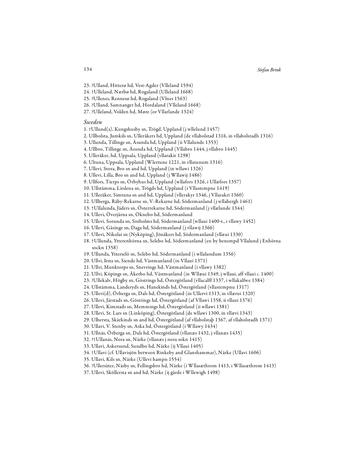- 23. ?Ulland, Hitterø hd, Vest-Agder (Vlleland 1594)
- 24. †Ulleland, Nærbø hd, Rogaland (Ulleland 1668)
- 25. ?Ullenes, Rennesø hd, Rogaland (Vlnes 1563)
- 26. ?Ulland, Samnanger hd, Hordaland (Vlleland 1668)
- 27. ?Ulleland, Volden hd, Møre (or Vllarlande 1324)

#### *Sweden*

- 1. †Ullund(a), Kungshusby sn, Trögd, Uppland (j wllelund 1457)
- 2. Ullbolsta, Jumkils sn, Ulleråkers hd, Uppland (de vllabolstad 1316, in vllabolstadh 1316)
- 3. Ullunda, Tillinge sn, Åsunda hd, Uppland (ii Vllalunde 1353)
- 4. Ullbro, Tillinge sn, Åsunda hd, Uppland (Vllabro 1444, j vllabro 1445)
- 5. Ulleråker, hd, Uppsala, Uppland (vllarakir 1298)
- 6. Ultuna, Uppsala, Uppland (Wlertune 1221, in vllatunum 1316)
- 7. Ullevi, Stora, Bro sn and hd, Uppland (in wllawi 1326)
- 8. Ullevi, Lilla, Bro sn and hd, Uppland (j Wllawij 1486)
- 9. Ullfors, Tierps sn, Örbyhus hd, Uppland (wllafors 1326, i Ullæfors 1357)
- 10. Ullstämma, Litslena sn, Trögds hd, Uppland (i Vllastempne 1419)
- 11. Ulleråker, Simtuna sn and hd, Uppland (vllerakyr 1346, j Vllarakri 1360)
- 12. Ullberga, Råby-Rekarne sn, V.-Rekarne hd, Södermanland (j wllabergh 1461)
- 13. †Ullalunda, Jäders sn, Österrekarne hd, Södermanland (j vllælunde 1344)
- 14. Ullevi, Överjärna sn, Öknebo hd, Södermanland
- 15. Ullevi, Sorunda sn, Sotholms hd, Södermanland (wllaui 1400-t., i vllawy 1452)
- 16. Ullevi, Gåsinge sn, Daga hd, Södermanland (j vllawij 1366)
- 17. Ullevi, Nikolai sn (Nyköping), Jönåkers hd, Södermanland (vllæui 1330)
- 18. †Ullunda, Ytterenhörna sn, Selebo hd, Södermanland (en by benempd Vllalund j Enhörna sockn 1358)
- 19. Ullunda, Ytterselö sn, Selebo hd, Södermanland (i wllalundum 1356)
- 20. Ullvi, Irsta sn, Siende hd, Västmanland (in Vllaui 1371)
- 21. Ullvi, Munktorps sn, Snevringe hd, Västmanland (i vllawy 1382)
- 22. Ullvi, Köpings sn, Åkerbo hd, Västmanland (in Wllæui 1349, j wllaui, aff vllaui *c*. 1400)
- 23. ?Ullekalv, Högby sn, Göstrings hd, Östergötland (vllacalff 1337, i wllakalfwe 1384)
- 24. Ullstämma, Landeryds sn, Hanekinds hd, Östergötland (vllastempnu 1317)
- 25. Ullevi(d), Örberga sn, Dals hd, Östergötland (in Ullervi 1313, in vllærui 1320)
- 26. Ullevi, Järstads sn, Göstrings hd, Östergötland (af Vllawi 1358, ii vllaui 1376)
- 27. Ullevi, Kimstads sn, Memmings hd, Östergötland (ii wllawi 1381)
- 28. Ullevi, St. Lars sn (Linköping), Östergötland (de wllawi 1300, in vllævi 1343)
- 29. Ulbersta, Skärkinds sn and hd, Östergötland (af vllabolstaþ 1367, af vllabolstadh 1371)
- 30. Ullavi, V. Stenby sn, Aska hd, Östergötland (i Wllawy 1434)
- 31. Ullnäs, Örberga sn, Dals hd, Östergötland (vllanæs 1432, j vllanæs 1435)
- 32. ?†Ullanäs, Nora sn, Närke (vllanæs j nora sokn 1415)
- 33. Ullavi, Askersund, Sundbo hd, Närke (ij Vllaui 1405)
- 34. †Ullavi (cf. Ullavisjön between Rinkeby and Glanshammar), Närke (Ullavi 1606)
- 35. Ullavi, Kils sn, Närke (Ullevi hampn 1554)
- 36. ?Ullersäter, Näsby sn, Fellingsbro hd, Närke (i Wllasæthrom 1413, i Wllasæthrom 1413)
- 37. Ullevi, Sköllersta sn and hd, Närke (ij gårde i Wllewigh 1498)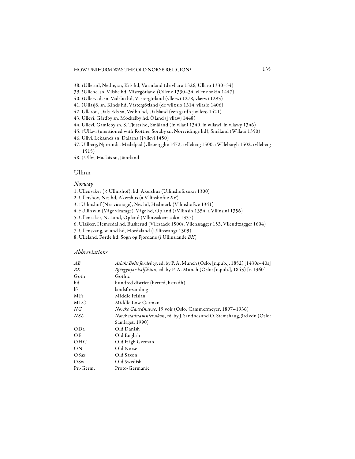- 38. ?Ullerud, Nedre, sn, Kils hd, Värmland (de vllarø 1326, Ullarø 1330–34)
- 39. ?Ullene, sn, Vilske hd, Västrgötland (Ollene 1330–34, vllene sokin 1447)
- 40. ?Ullervad, sn, Vadsbo hd, Västergötland (vllerwi 1278, vlærwi 1293)
- 41. ?Ullasjö, sn, Kinds hd, Västergötland (de wllæsio 1314, vllasio 1406)
- 42. Ullerön, Dals-Eds sn, Vedbo hd, Dalsland (een gardh j wllerø 1421)
- 43. Ullevi, Gårdby sn, Möckelby hd, Öland (j vllawj 1448)
- 44. Ullevi, Gamleby sn, S. Tjusts hd, Småland (in vllaui 1340, in wllawi, in vllawy 1346)
- 45. †Ullavi (mentioned with Rottne, Söraby sn, Norrvidinge hd), Småland (Wllaui 1350)
- 46. Ullvi, Leksands sn, Dalarna (j vllevi 1450)
- 47. Ullberg, Njurunda, Medelpad (vllebergghe 1472, i vlleberg 1500, i Wllebärgh 1502, i vlleberg 1515)
- 48. †Ullvi, Hackås sn, Jämtland

## Ullinn

### *Norway*

- 1. Ullensaker (< Ullinshof), hd, Akershus (Ullinshofs sokn 1300)
- 2. Ullershov, Nes hd, Akershus (a Vllinshofue *RB*)
- 3. †Ullinshof (Nes vicarage), Nes hd, Hedmark (Vllinshofwe 1341)
- 4. †Ullinsvin (Våge vicarage), Våge hd, Opland (aVllinsin 1354, a Vllinsini 1356)
- 5. Ullensaker, N. Land, Opland (Vllinssakærs sokn 1337)
- 6. Ulsåker, Hemsedal hd, Buskerud (Vllesaack 1500s, Vllenssagger 153, Vllendtzagger 1604)
- 7. Ullensvang, sn and hd, Hordaland (Ullinsvangr 1309)
- 8. Ulleland, Førde hd, Sogn og Fjordane (i Ullinslande *BK*)

## *Abbreviations*

| AB              | Aslaks Bolts Jordebog, ed. by P. A. Munch (Oslo: [n.pub.], 1852) [1430s-40s]       |  |
|-----------------|------------------------------------------------------------------------------------|--|
| BK              | Björgynjar kálfskinn, ed. by P. A. Munch (Oslo: [n.pub.], 1843) [c. 1360]          |  |
| Goth            | Gothic                                                                             |  |
| hd              | hundred district (herred, hæradh)                                                  |  |
| lfs             | landsförsamling                                                                    |  |
| M Fr            | Middle Frisian                                                                     |  |
| MLG             | Middle Low German                                                                  |  |
| NG              | <i>Norske Gaardnavne</i> , 19 vols (Oslo: Cammermeyer, 1897–1936)                  |  |
| NSL             | <i>Norsk stadnamnleksikon</i> , ed. by J. Sandnes and O. Stemshaug, 3rd edn (Oslo: |  |
|                 | Samlaget, 1990)                                                                    |  |
| OD <sub>a</sub> | Old Danish                                                                         |  |
| <b>OE</b>       | Old English                                                                        |  |
| OHG             | Old High German                                                                    |  |
| ON              | Old Norse                                                                          |  |
| OSax            | Old Saxon                                                                          |  |
| OSw             | Old Swedish                                                                        |  |
| Pr.-Germ.       | Proto-Germanic                                                                     |  |